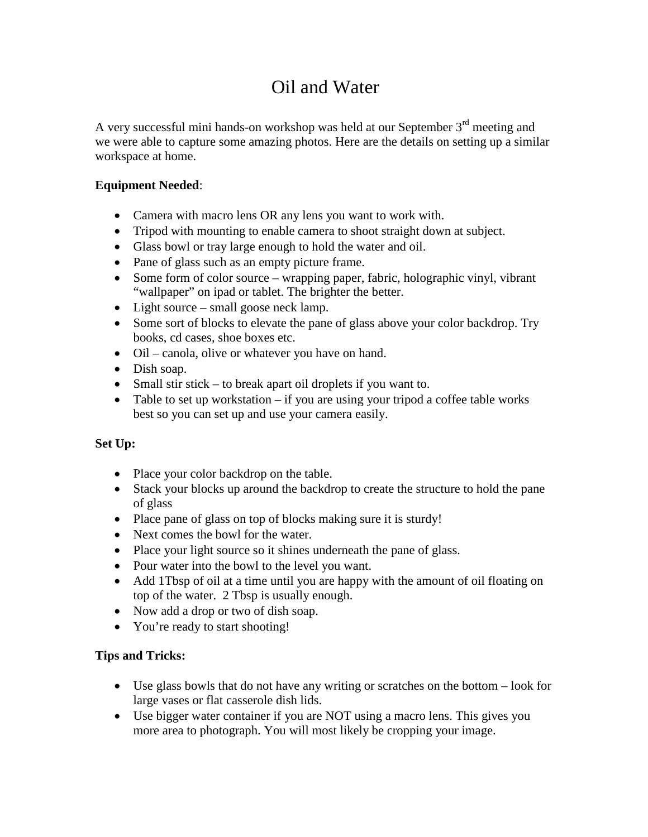## Oil and Water

A very successful mini hands-on workshop was held at our September  $3<sup>rd</sup>$  meeting and we were able to capture some amazing photos. Here are the details on setting up a similar workspace at home.

## **Equipment Needed**:

- Camera with macro lens OR any lens you want to work with.
- Tripod with mounting to enable camera to shoot straight down at subject.
- Glass bowl or tray large enough to hold the water and oil.
- Pane of glass such as an empty picture frame.
- Some form of color source wrapping paper, fabric, holographic vinyl, vibrant "wallpaper" on ipad or tablet. The brighter the better.
- Light source small goose neck lamp.
- Some sort of blocks to elevate the pane of glass above your color backdrop. Try books, cd cases, shoe boxes etc.
- Oil canola, olive or whatever you have on hand.
- Dish soap.
- Small stir stick to break apart oil droplets if you want to.
- Table to set up workstation  $-\text{ if you are using your tripod a coffee table works}$ best so you can set up and use your camera easily.

## **Set Up:**

- Place your color backdrop on the table.
- Stack your blocks up around the backdrop to create the structure to hold the pane of glass
- Place pane of glass on top of blocks making sure it is sturdy!
- Next comes the bowl for the water.
- Place your light source so it shines underneath the pane of glass.
- Pour water into the bowl to the level you want.
- Add 1Tbsp of oil at a time until you are happy with the amount of oil floating on top of the water. 2 Tbsp is usually enough.
- Now add a drop or two of dish soap.
- You're ready to start shooting!

## **Tips and Tricks:**

- Use glass bowls that do not have any writing or scratches on the bottom look for large vases or flat casserole dish lids.
- Use bigger water container if you are NOT using a macro lens. This gives you more area to photograph. You will most likely be cropping your image.